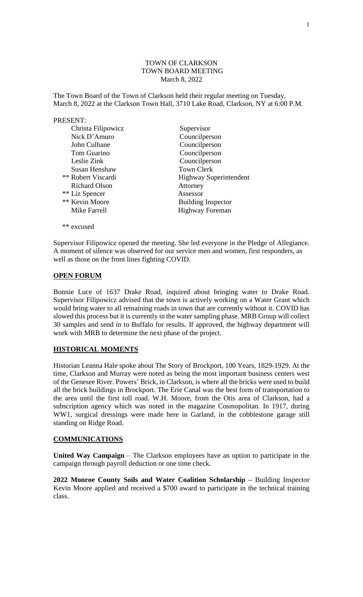#### TOWN OF CLARKSON TOWN BOARD MEETING March 8, 2022

The Town Board of the Town of Clarkson held their regular meeting on Tuesday, March 8, 2022 at the Clarkson Town Hall, 3710 Lake Road, Clarkson, NY at 6:00 P.M.

#### PRESENT:

| Christa Filipowicz   | Supervisor                    |
|----------------------|-------------------------------|
| Nick D'Amuro         | Councilperson                 |
| John Culhane         | Councilperson                 |
| Tom Guarino          | Councilperson                 |
| Leslie Zink          | Councilperson                 |
| Susan Henshaw        | <b>Town Clerk</b>             |
| ** Robert Viscardi   | <b>Highway Superintendent</b> |
| <b>Richard Olson</b> | Attorney                      |
| ** Liz Spencer       | Assessor                      |
| ** Kevin Moore       | <b>Building Inspector</b>     |
| Mike Farrell         | <b>Highway Foreman</b>        |
|                      |                               |

Supervisor Filipowicz opened the meeting. She led everyone in the Pledge of Allegiance. A moment of silence was observed for our service men and women, first responders, as well as those on the front lines fighting COVID.

### **OPEN FORUM**

\*\* excused

Bonnie Luce of 1637 Drake Road, inquired about bringing water to Drake Road. Supervisor Filipowicz advised that the town is actively working on a Water Grant which would bring water to all remaining roads in town that are currently without it. COVID has slowed this process but it is currently in the water sampling phase. MRB Group will collect 30 samples and send in to Buffalo for results. If approved, the highway department will work with MRB to determine the next phase of the project.

### **HISTORICAL MOMENTS**

Historian Leanna Hale spoke about The Story of Brockport, 100 Years, 1829-1929. At the time, Clarkson and Murray were noted as being the most important business centers west of the Genesee River. Powers' Brick, in Clarkson, is where all the bricks were used to build all the brick buildings in Brockport. The Erie Canal was the best form of transportation to the area until the first toll road. W.H. Moore, from the Otis area of Clarkson, had a subscription agency which was noted in the magazine Cosmopolitan. In 1917, during WW1, surgical dressings were made here in Garland, in the cobblestone garage still standing on Ridge Road.

#### **COMMUNICATIONS**

**United Way Campaign** – The Clarkson employees have an option to participate in the campaign through payroll deduction or one time check.

**2022 Monroe County Soils and Water Coalition Scholarship –** Building Inspector Kevin Moore applied and received a \$700 award to participate in the technical training class.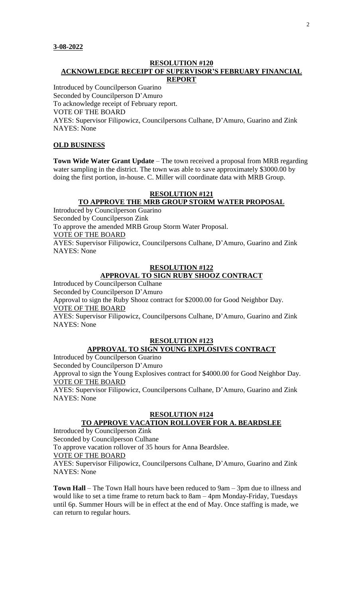#### **RESOLUTION #120 ACKNOWLEDGE RECEIPT OF SUPERVISOR'S FEBRUARY FINANCIAL REPORT**

Introduced by Councilperson Guarino Seconded by Councilperson D'Amuro To acknowledge receipt of February report. VOTE OF THE BOARD AYES: Supervisor Filipowicz, Councilpersons Culhane, D'Amuro, Guarino and Zink NAYES: None

### **OLD BUSINESS**

**Town Wide Water Grant Update** – The town received a proposal from MRB regarding water sampling in the district. The town was able to save approximately \$3000.00 by doing the first portion, in-house. C. Miller will coordinate data with MRB Group.

## **RESOLUTION #121 TO APPROVE THE MRB GROUP STORM WATER PROPOSAL**

Introduced by Councilperson Guarino Seconded by Councilperson Zink To approve the amended MRB Group Storm Water Proposal. VOTE OF THE BOARD AYES: Supervisor Filipowicz, Councilpersons Culhane, D'Amuro, Guarino and Zink NAYES: None

### **RESOLUTION #122**

# **APPROVAL TO SIGN RUBY SHOOZ CONTRACT**

Introduced by Councilperson Culhane

Seconded by Councilperson D'Amuro

Approval to sign the Ruby Shooz contract for \$2000.00 for Good Neighbor Day. VOTE OF THE BOARD

AYES: Supervisor Filipowicz, Councilpersons Culhane, D'Amuro, Guarino and Zink NAYES: None

#### **RESOLUTION #123**

# **APPROVAL TO SIGN YOUNG EXPLOSIVES CONTRACT**

Introduced by Councilperson Guarino

Seconded by Councilperson D'Amuro

Approval to sign the Young Explosives contract for \$4000.00 for Good Neighbor Day. VOTE OF THE BOARD

AYES: Supervisor Filipowicz, Councilpersons Culhane, D'Amuro, Guarino and Zink NAYES: None

### **RESOLUTION #124**

# **TO APPROVE VACATION ROLLOVER FOR A. BEARDSLEE**

Introduced by Councilperson Zink Seconded by Councilperson Culhane To approve vacation rollover of 35 hours for Anna Beardslee. VOTE OF THE BOARD AYES: Supervisor Filipowicz, Councilpersons Culhane, D'Amuro, Guarino and Zink NAYES: None

**Town Hall** – The Town Hall hours have been reduced to 9am – 3pm due to illness and would like to set a time frame to return back to 8am – 4pm Monday-Friday, Tuesdays until 6p. Summer Hours will be in effect at the end of May. Once staffing is made, we can return to regular hours.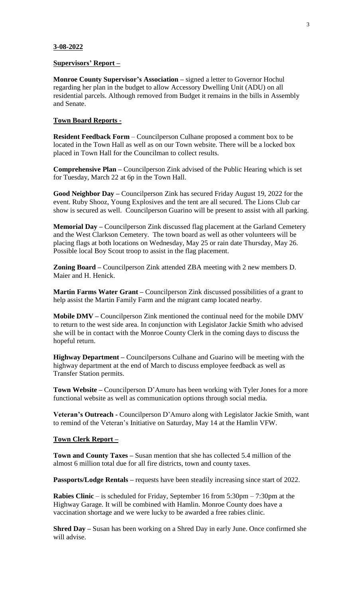#### **3-08-2022**

#### **Supervisors' Report –**

**Monroe County Supervisor's Association –** signed a letter to Governor Hochul regarding her plan in the budget to allow Accessory Dwelling Unit (ADU) on all residential parcels. Although removed from Budget it remains in the bills in Assembly and Senate.

#### **Town Board Reports -**

**Resident Feedback Form** – Councilperson Culhane proposed a comment box to be located in the Town Hall as well as on our Town website. There will be a locked box placed in Town Hall for the Councilman to collect results.

**Comprehensive Plan –** Councilperson Zink advised of the Public Hearing which is set for Tuesday, March 22 at 6p in the Town Hall.

**Good Neighbor Day –** Councilperson Zink has secured Friday August 19, 2022 for the event. Ruby Shooz, Young Explosives and the tent are all secured. The Lions Club car show is secured as well. Councilperson Guarino will be present to assist with all parking.

**Memorial Day –** Councilperson Zink discussed flag placement at the Garland Cemetery and the West Clarkson Cemetery. The town board as well as other volunteers will be placing flags at both locations on Wednesday, May 25 or rain date Thursday, May 26. Possible local Boy Scout troop to assist in the flag placement.

**Zoning Board –** Councilperson Zink attended ZBA meeting with 2 new members D. Maier and H. Henick.

**Martin Farms Water Grant –** Councilperson Zink discussed possibilities of a grant to help assist the Martin Family Farm and the migrant camp located nearby.

**Mobile DMV –** Councilperson Zink mentioned the continual need for the mobile DMV to return to the west side area. In conjunction with Legislator Jackie Smith who advised she will be in contact with the Monroe County Clerk in the coming days to discuss the hopeful return.

**Highway Department –** Councilpersons Culhane and Guarino will be meeting with the highway department at the end of March to discuss employee feedback as well as Transfer Station permits.

**Town Website –** Councilperson D'Amuro has been working with Tyler Jones for a more functional website as well as communication options through social media.

**Veteran's Outreach -** Councilperson D'Amuro along with Legislator Jackie Smith, want to remind of the Veteran's Initiative on Saturday, May 14 at the Hamlin VFW.

#### **Town Clerk Report –**

**Town and County Taxes –** Susan mention that she has collected 5.4 million of the almost 6 million total due for all fire districts, town and county taxes.

**Passports/Lodge Rentals –** requests have been steadily increasing since start of 2022.

**Rabies Clinic** – is scheduled for Friday, September 16 from 5:30pm – 7:30pm at the Highway Garage. It will be combined with Hamlin. Monroe County does have a vaccination shortage and we were lucky to be awarded a free rabies clinic.

**Shred Day –** Susan has been working on a Shred Day in early June. Once confirmed she will advise.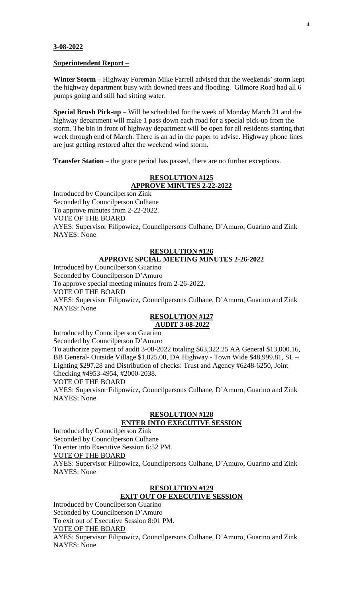#### **3-08-2022**

#### **Superintendent Report –**

**Winter Storm –** Highway Foreman Mike Farrell advised that the weekends' storm kept the highway department busy with downed trees and flooding. Gilmore Road had all 6 pumps going and still had sitting water.

**Special Brush Pick-up** – Will be scheduled for the week of Monday March 21 and the highway department will make 1 pass down each road for a special pick-up from the storm. The bin in front of highway department will be open for all residents starting that week through end of March. There is an ad in the paper to advise. Highway phone lines are just getting restored after the weekend wind storm.

**Transfer Station –** the grace period has passed, there are no further exceptions.

### **RESOLUTION #125**

**APPROVE MINUTES 2-22-2022** Introduced by Councilperson Zink Seconded by Councilperson Culhane To approve minutes from 2-22-2022. VOTE OF THE BOARD AYES: Supervisor Filipowicz, Councilpersons Culhane, D'Amuro, Guarino and Zink NAYES: None

#### **RESOLUTION #126 APPROVE SPCIAL MEETING MINUTES 2-26-2022**

Introduced by Councilperson Guarino Seconded by Councilperson D'Amuro To approve special meeting minutes from 2-26-2022. VOTE OF THE BOARD AYES: Supervisor Filipowicz, Councilpersons Culhane, D'Amuro, Guarino and Zink NAYES: None

#### **RESOLUTION #127 AUDIT 3-08-2022**

Introduced by Councilperson Guarino

Seconded by Councilperson D'Amuro

To authorize payment of audit 3-08-2022 totaling \$63,322.25 AA General \$13,000.16, BB General- Outside Village \$1,025.00, DA Highway - Town Wide \$48,999.81, SL – Lighting \$297.28 and Distribution of checks: Trust and Agency #6248-6250, Joint Checking #4953-4954, #2000-2038.

VOTE OF THE BOARD

AYES: Supervisor Filipowicz, Councilpersons Culhane, D'Amuro, Guarino and Zink NAYES: None

# **RESOLUTION #128**

# **ENTER INTO EXECUTIVE SESSION**

Introduced by Councilperson Zink Seconded by Councilperson Culhane To enter into Executive Session 6:52 PM. VOTE OF THE BOARD AYES: Supervisor Filipowicz, Councilpersons Culhane, D'Amuro, Guarino and Zink NAYES: None

#### **RESOLUTION #129**

## **EXIT OUT OF EXECUTIVE SESSION**

Introduced by Councilperson Guarino Seconded by Councilperson D'Amuro To exit out of Executive Session 8:01 PM. VOTE OF THE BOARD AYES: Supervisor Filipowicz, Councilpersons Culhane, D'Amuro, Guarino and Zink NAYES: None